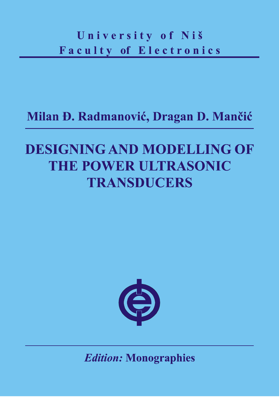## University of Niš Faculty of Electronics

## Milan Đ. Radmanović, Dragan D. Mančić

## **DESIGNING AND MODELLING OF** THE POWER ULTRASONIC **TRANSDUCERS**



**Edition: Monographies**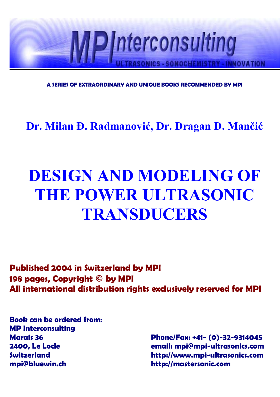

**A SERIES OF EXTRAORDINARY AND UNIQUE BOOKS RECOMMENDED BY MPI**

**Dr. Milan Đ. Radmanović, Dr. Dragan D. Mančić**

# **DESIGN AND MODELING OF THE POWER ULTRASONIC TRANSDUCERS**

**Published 2004 in Switzerland by MPI 198 pages, Copyright © by MPI All international distribution rights exclusively reserved for MPI**

**Book can be ordered from: MP Interconsulting mpi@bluewin.ch http://mastersonic.com**

**Marais 36 Phone/Fax: +41- (0)-32-9314045 2400, Le Locle email: mpi@mpi-ultrasonics.com Switzerland http://www.mpi-ultrasonics.com**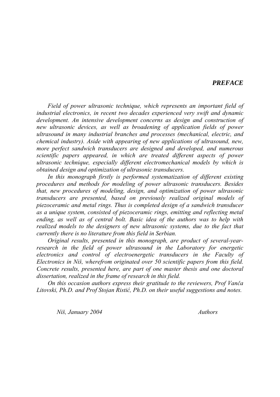#### *PREFACE*

*Field of power ultrasonic technique, which represents an important field of industrial electronics, in recent two decades experienced very swift and dynamic development. An intensive development concerns as design and construction of new ultrasonic devices, as well as broadening of application fields of power ultrasound in many industrial branches and processes (mechanical, electric, and chemical industry). Aside with appearing of new applications of ultrasound, new, more perfect sandwich transducers are designed and developed, and numerous scientific papers appeared, in which are treated different aspects of power ultrasonic technique, especially different electromechanical models by which is obtained design and optimization of ultrasonic transducers.*

*In this monograph firstly is performed systematization of different existing procedures and methods for modeling of power ultrasonic transducers. Besides that, new procedures of modeling, design, and optimization of power ultrasonic transducers are presented, based on previously realized original models of piezoceramic and metal rings. Thus is completed design of a sandwich transducer as a unique system, consisted of piezoceramic rings, emitting and reflecting metal ending, as well as of central bolt. Basic idea of the authors was to help with realized models to the designers of new ultrasonic systems, due to the fact that currently there is no literature from this field in Serbian.*

*Original results, presented in this monograph, are product of several-yearresearch in the field of power ultrasound in the Laboratory for energetic electronics and control of electroenergetic transducers in the Faculty of Electronics in Niš, wherefrom originated over 50 scientific papers from this field. Concrete results, presented here, are part of one master thesis and one doctoral dissertation, realized in the frame of research in this field.*

*On this occasion authors express their gratitude to the reviewers, Prof Vanča Litovski, Ph.D. and Prof Stojan Ristić, Ph.D. on their useful suggestions and notes.*

*Niš, January 2004 Authors*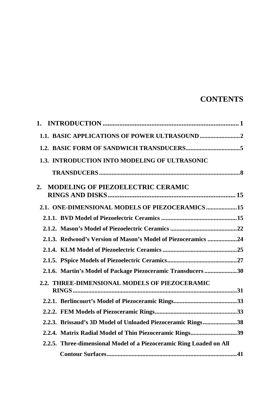#### **CONTENTS**

| 1.3. INTRODUCTION INTO MODELING OF ULTRASONIC                       |  |
|---------------------------------------------------------------------|--|
|                                                                     |  |
| MODELING OF PIEZOELECTRIC CERAMIC<br>2.                             |  |
| 2.1. ONE-DIMENSIONAL MODELS OF PIEZOCERAMICS 15                     |  |
|                                                                     |  |
|                                                                     |  |
| 2.1.3. Redwood's Version of Mason's Model of Piezoceramics 24       |  |
|                                                                     |  |
|                                                                     |  |
| 2.1.6. Martin's Model of Package Piezoceramic Transducers 30        |  |
| 2.2. THREE-DIMENSIONAL MODELS OF PIEZOCERAMIC                       |  |
|                                                                     |  |
|                                                                     |  |
| 2.2.3. Brissaud's 3D Model of Unloaded Piezoceramic Rings38         |  |
| 2.2.4. Matrix Radial Model of Thin Piezoceramic Rings39             |  |
| 2.2.5. Three-dimensional Model of a Piezoceramic Ring Loaded on All |  |
|                                                                     |  |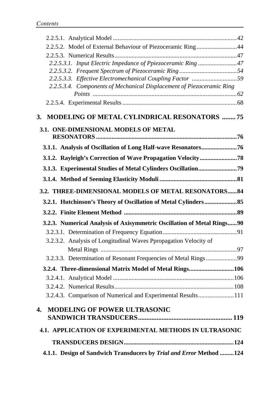| 2.2.5.2. Model of External Behaviour of Piezoceramic Ring44            |  |
|------------------------------------------------------------------------|--|
|                                                                        |  |
| 2.2.5.3.1. Input Electric Impedance of Ppiezoceramic Ring 47           |  |
|                                                                        |  |
| 2.2.5.3.3. Effective Electromechanical Coupling Factor 59              |  |
| 2.2.5.3.4. Components of Mechanical Displacement of Piezoceramic Ring  |  |
|                                                                        |  |
|                                                                        |  |
| 3. MODELING OF METAL CYLINDRICAL RESONATORS 75                         |  |
| 3.1. ONE-DIMENSIONAL MODELS OF METAL                                   |  |
|                                                                        |  |
| 3.1.1. Analysis of Oscillation of Long Half-wave Resonators76          |  |
|                                                                        |  |
|                                                                        |  |
|                                                                        |  |
| 3.2. THREE-DIMENSIONAL MODELS OF METAL RESONATORS84                    |  |
|                                                                        |  |
|                                                                        |  |
|                                                                        |  |
|                                                                        |  |
| 3.2.3. Numerical Analysis of Axisymmetric Oscillation of Metal Rings90 |  |
|                                                                        |  |
| 3.2.3.2. Analysis of Longitudinal Waves Ppropagation Velocity of       |  |
| 3.2.3.3. Determination of Resonant Frequencies of Metal Rings99        |  |
| 3.2.4. Three-dimensional Matrix Model of Metal Rings106                |  |
|                                                                        |  |
|                                                                        |  |
| 3.2.4.3. Comparison of Numerical and Experimental Results111           |  |
| <b>MODELING OF POWER ULTRASONIC</b><br>4.                              |  |
|                                                                        |  |
| <b>4.1. APPLICATION OF EXPERIMENTAL METHODS IN ULTRASONIC</b>          |  |
|                                                                        |  |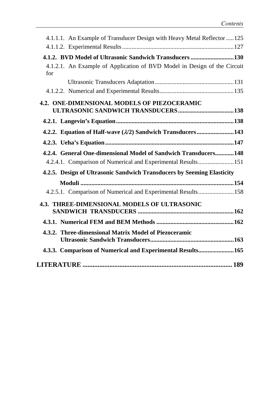| 4.1.1.1. An Example of Transducer Design with Heavy Metal Reflector 125         |
|---------------------------------------------------------------------------------|
|                                                                                 |
| 4.1.2. BVD Model of Ultrasonic Sandwich Transducers130                          |
| 4.1.2.1. An Example of Application of BVD Model in Design of the Circuit<br>for |
|                                                                                 |
|                                                                                 |
| 4.2. ONE-DIMENSIONAL MODELS OF PIEZOCERAMIC                                     |
|                                                                                 |
|                                                                                 |
| 4.2.2. Equation of Half-wave (1/2) Sandwich Transducers143                      |
|                                                                                 |
| 4.2.4. General One-dimensional Model of Sandwich Transducers148                 |
| 4.2.4.1. Comparison of Numerical and Experimental Results151                    |
| 4.2.5. Design of Ultrasonic Sandwich Transducers by Seeming Elasticity          |
|                                                                                 |
| 4.2.5.1. Comparison of Numerical and Experimental Results158                    |
| 4.3. THREE-DIMENSIONAL MODELS OF ULTRASONIC                                     |
|                                                                                 |
| 4.3.2. Three-dimensional Matrix Model of Piezoceramic                           |
| 4.3.3. Comparison of Numerical and Experimental Results165                      |
|                                                                                 |